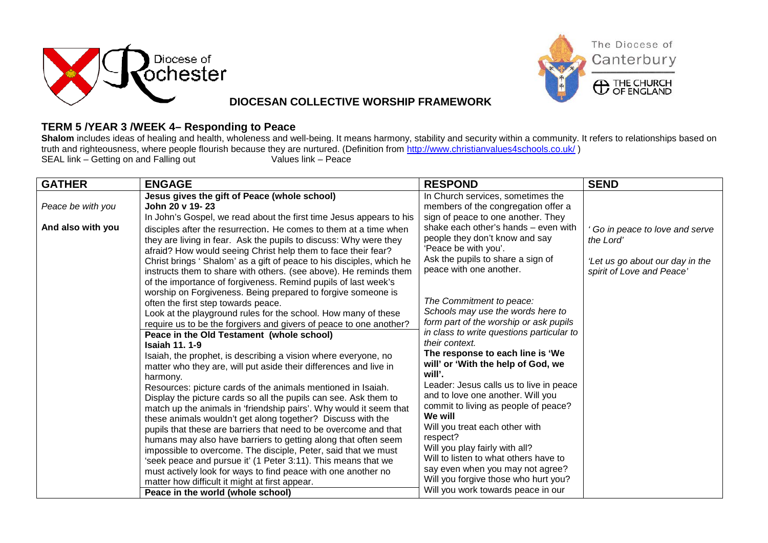



## **DIOCESAN COLLECTIVE WORSHIP FRAMEWORK**

## **TERM 5 /YEAR 3 /WEEK 4– Responding to Peace**

Shalom includes ideas of healing and health, wholeness and well-being. It means harmony, stability and security within a community. It refers to relationships based on truth and righteousness, where people flourish because they are nurtured. (Definition from<http://www.christianvalues4schools.co.uk/>)<br>SEAL link – Getting on and Falling out<br>Values link – Peace SEAL link  $-$  Getting on and Falling out

| <b>GATHER</b>     | <b>ENGAGE</b>                                                         | <b>RESPOND</b>                            | <b>SEND</b>                     |
|-------------------|-----------------------------------------------------------------------|-------------------------------------------|---------------------------------|
|                   | Jesus gives the gift of Peace (whole school)                          | In Church services, sometimes the         |                                 |
| Peace be with you | John 20 v 19-23                                                       | members of the congregation offer a       |                                 |
|                   | In John's Gospel, we read about the first time Jesus appears to his   | sign of peace to one another. They        |                                 |
| And also with you | disciples after the resurrection. He comes to them at a time when     | shake each other's hands - even with      | Go in peace to love and serve   |
|                   | they are living in fear. Ask the pupils to discuss: Why were they     | people they don't know and say            | the Lord'                       |
|                   | afraid? How would seeing Christ help them to face their fear?         | 'Peace be with you'.                      |                                 |
|                   | Christ brings ' Shalom' as a gift of peace to his disciples, which he | Ask the pupils to share a sign of         | 'Let us go about our day in the |
|                   | instructs them to share with others. (see above). He reminds them     | peace with one another.                   | spirit of Love and Peace'       |
|                   | of the importance of forgiveness. Remind pupils of last week's        |                                           |                                 |
|                   | worship on Forgiveness. Being prepared to forgive someone is          | The Commitment to peace:                  |                                 |
|                   | often the first step towards peace.                                   | Schools may use the words here to         |                                 |
|                   | Look at the playground rules for the school. How many of these        | form part of the worship or ask pupils    |                                 |
|                   | require us to be the forgivers and givers of peace to one another?    | in class to write questions particular to |                                 |
|                   | Peace in the Old Testament (whole school)<br><b>Isaiah 11, 1-9</b>    | their context.                            |                                 |
|                   | Isaiah, the prophet, is describing a vision where everyone, no        | The response to each line is 'We          |                                 |
|                   | matter who they are, will put aside their differences and live in     | will' or 'With the help of God, we        |                                 |
|                   | harmony.                                                              | will'.                                    |                                 |
|                   | Resources: picture cards of the animals mentioned in Isaiah.          | Leader: Jesus calls us to live in peace   |                                 |
|                   | Display the picture cards so all the pupils can see. Ask them to      | and to love one another. Will you         |                                 |
|                   | match up the animals in 'friendship pairs'. Why would it seem that    | commit to living as people of peace?      |                                 |
|                   | these animals wouldn't get along together? Discuss with the           | We will                                   |                                 |
|                   | pupils that these are barriers that need to be overcome and that      | Will you treat each other with            |                                 |
|                   | humans may also have barriers to getting along that often seem        | respect?                                  |                                 |
|                   | impossible to overcome. The disciple, Peter, said that we must        | Will you play fairly with all?            |                                 |
|                   | 'seek peace and pursue it' (1 Peter 3:11). This means that we         | Will to listen to what others have to     |                                 |
|                   | must actively look for ways to find peace with one another no         | say even when you may not agree?          |                                 |
|                   | matter how difficult it might at first appear.                        | Will you forgive those who hurt you?      |                                 |
|                   | Peace in the world (whole school)                                     | Will you work towards peace in our        |                                 |